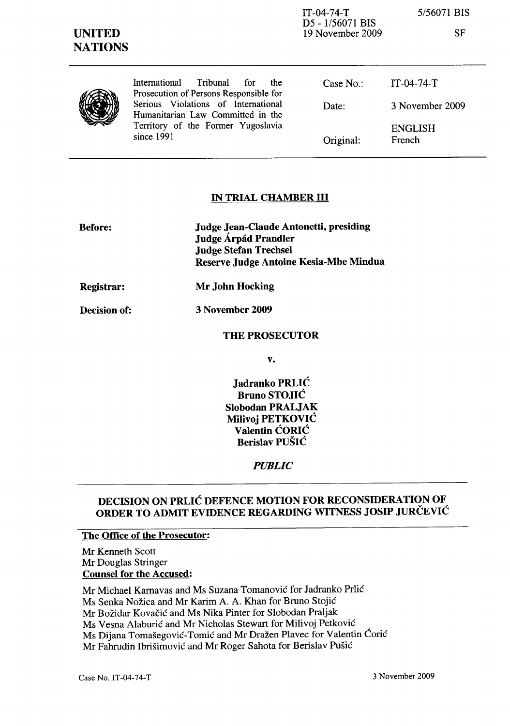| <b>UNITED</b><br><b>NATIONS</b> |                                                                                                                              | D5 - 1/56071 BIS<br>19 November 2009 | <b>SF</b>                |
|---------------------------------|------------------------------------------------------------------------------------------------------------------------------|--------------------------------------|--------------------------|
|                                 | Tribunal<br>International<br>for<br>the.<br>Prosecution of Persons Responsible for                                           | Case $No.$ :                         | $IT-04-74-T$             |
|                                 | Serious Violations of International<br>Humanitarian Law Committed in the<br>Territory of the Former Yugoslavia<br>since 1991 | Date:                                | 3 November 2009          |
|                                 |                                                                                                                              | Original:                            | <b>ENGLISH</b><br>French |

IT-04-74-T

*5/56071* BIS

## IN TRIAL CHAMBER **III**

| <b>Before:</b>    | <b>Judge Jean-Claude Antonetti, presiding</b><br>Judge Árpád Prandler<br><b>Judge Stefan Trechsel</b><br><b>Reserve Judge Antoine Kesia-Mbe Mindua</b> |
|-------------------|--------------------------------------------------------------------------------------------------------------------------------------------------------|
| <b>Registrar:</b> | Mr John Hocking                                                                                                                                        |
| Decision of:      | 3 November 2009                                                                                                                                        |

### THE PROSECUTOR

v.

Jadranko PRLIC Bruno STOJIC Slobodan PRALJAK Milivoj PETKOVIC Valentin CORIC Berislav PUSIC

## *PUBLIC*

## DECISION ON PRLIC DEFENCE MOTION FOR RECONSIDERATION OF ORDER TO ADMIT EVIDENCE REGARDING WITNESS JOSIP JURČEVIĆ

#### The Office of the Prosecutor:

Mr Kenneth Scott Mr Douglas Stringer Counsel for the Accused:

Mr Michael Kamavas and Ms Suzana Tomanovic for ladranko Prlic Ms Senka Nozica and Mr Karim A. A. Khan for Bruno Stojic Mr Bozidar Kovacic and Ms Nika Pinter for Slobodan Praljak Ms Vesna Alaburic and Mr Nicholas Stewart for Milivoj Petkovic Ms Dijana Tomašegović-Tomić and Mr Dražen Plavec for Valentin Ćorić Mr Fahrudin Ibrišimović and Mr Roger Sahota for Berislav Pušić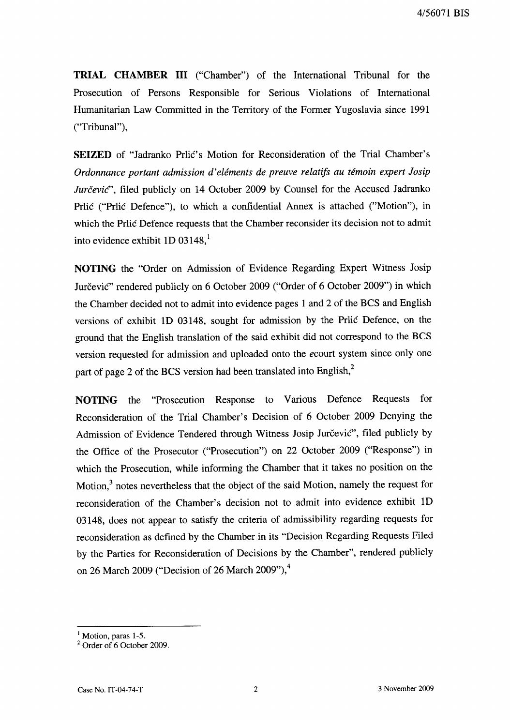**TRIAL CHAMBER III** ("Chamber") of the International Tribunal for the Prosecution of Persons Responsible for Serious Violations of International Humanitarian Law Committed in the Territory of the Former Yugoslavia since 1991 ("Tribunal"),

**SEIZED** of "Jadranko Prlic's Motion for Reconsideration of the Trial Chamber's *Ordonnance portant admission d'elements de preuve relatifs au temoin expert Josip Jurčević*", filed publicly on 14 October 2009 by Counsel for the Accused Jadranko Prlic ("Prlic Defence"), to which a confidential Annex is attached ("Motion"), in which the Prlic Defence requests that the Chamber reconsider its decision not to admit into evidence exhibit  $1D 03148$ <sup>1</sup>

**NOTING** the "Order on Admission of Evidence Regarding Expert Witness Josip Jurčević" rendered publicly on 6 October 2009 ("Order of 6 October 2009") in which the Chamber decided not to admit into evidence pages 1 and 2 of the BCS and English versions of exhibit ID 03148, sought for admission by the Prlic Defence, on the ground that the English translation of the said exhibit did not correspond to the BCS version requested for admission and uploaded onto the *ecourt* system since only one part of page 2 of the BCS version had been translated into English,<sup>2</sup>

**NOTING** the "Prosecution Response to Various Defence Requests for Reconsideration of the Trial Chamber's Decision of 6 October 2009 Denying the Admission of Evidence Tendered through Witness Josip Jurčević", filed publicly by the Office of the Prosecutor ("Prosecution") on 22 October 2009 ("Response") in which the Prosecution, while informing the Chamber that it takes no position on the Motion,<sup>3</sup> notes nevertheless that the object of the said Motion, namely the request for reconsideration of the Chamber's decision not to admit into evidence exhibit ID 03148, does not appear to satisfy the criteria of admissibility regarding requests for reconsideration as defined by the Chamber in its "Decision Regarding Requests Filed by the Parties for Reconsideration of Decisions by the Chamber", rendered publicly on 26 March 2009 ("Decision of 26 March 2009"), $4$ 

 $<sup>1</sup>$  Motion, paras 1-5.</sup>

 $2$  Order of 6 October 2009.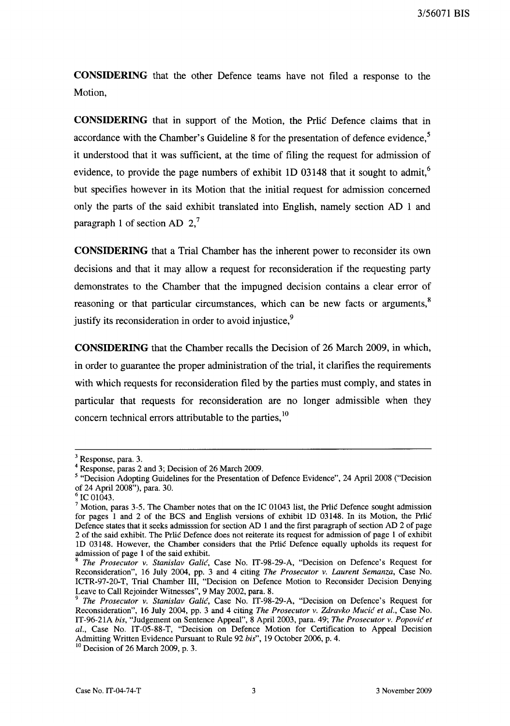**CONSIDERING** that the other Defence teams have not filed a response to the Motion,

**CONSIDERING** that in support of the Motion, the Prlic Defence claims that in accordance with the Chamber's Guideline 8 for the presentation of defence evidence, $5$ it understood that it was sufficient, at the time of filing the request for admission of evidence, to provide the page numbers of exhibit 1D 03148 that it sought to admit,<sup>6</sup> but specifies however in its Motion that the initial request for admission concerned only the parts of the said exhibit translated into English, namely section AD 1 and paragraph 1 of section AD  $2<sup>7</sup>$ 

**CONSIDERING** that a Trial Chamber has the inherent power to reconsider its own decisions and that it may allow a request for reconsideration if the requesting party demonstrates to the Chamber that the impugned decision contains a clear error of reasoning or that particular circumstances, which can be new facts or arguments,<sup>8</sup> justify its reconsideration in order to avoid injustice,<sup>9</sup>

**CONSIDERING** that the Chamber recalls the Decision of 26 March 2009, in which, in order to guarantee the proper administration of the trial, it clarifies the requirements with which requests for reconsideration filed by the parties must comply, and states in particular that requests for reconsideration are no longer admissible when they concern technical errors attributable to the parties,<sup>10</sup>

 $3$  Response, para. 3.

<sup>4</sup> Response, paras 2 and 3; Decision of 26 March 2009.

<sup>&</sup>lt;sup>5</sup> "Decision Adopting Guidelines for the Presentation of Defence Evidence", 24 April 2008 ("Decision of 24 April 200S"), para. 30.

 $6$  IC 01043.

 $7$  Motion, paras 3-5. The Chamber notes that on the IC 01043 list, the Prlic Defence sought admission for pages 1 and 2 of the BCS and English versions of exhibit ID 03148. In its Motion, the Prlic Defence states that it seeks admisssion for section AD 1 and the first paragraph of section AD 2 of page 2 of the said exhibit. The Prlic Defence does not reiterate its request for admission of page 1 of exhibit ID 03148. However, the Chamber considers that the Prlic Defence equally upholds its request for admission of page 1 of the said exhibit.

<sup>8</sup>*The Prosecutor* v. *Stanislav Galic,* Case No. IT-98-29-A, "Decision on Defence's Request for Reconsideration", 16 July 2004, pp. 3 and 4 citing *The Prosecutor* v. *Laurent Semanza,* Case No. ICTR-97-20-T, Trial Chamber Ill, "Decision on Defence Motion to Reconsider Decision Denying Leave to Call Rejoinder Witnesses", 9 May 2002, para. S.

*<sup>9</sup> The Prosecutor* v. *Stanislav Galic,* Case No. IT-9S-29-A, "Decision on Defence's Request for Reconsideration", 16 July 2004, pp. 3 and 4 citing *The Prosecutor* v. *Zdravko Mucic et aI.,* Case No. IT-96-21A *bis,* "Judgement on Sentence Appeal", 8 April 2003, para. 49; *The Prosecutor* v. *Popovic et al.,* Case No. IT-05-88-T, "Decision on Defence Motion for Certification to Appeal Decision Admitting Written Evidence Pursuant to Rule 92 *bis",* 19 October 2006, p. 4.

 $\frac{10}{2}$  Decision of 26 March 2009, p. 3.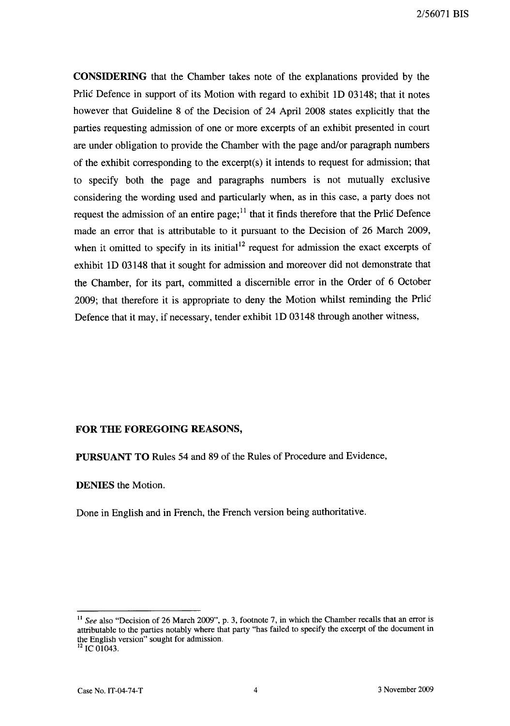2/56071 BIS

CONSIDERING that the Chamber takes note of the explanations provided by the Prlic Defence in support of its Motion with regard to exhibit ID 03148; that it notes however that Guideline 8 of the Decision of 24 April 2008 states explicitly that the parties requesting admission of one or more excerpts of an exhibit presented in court are under obligation to provide the Chamber with the page and/or paragraph numbers of the exhibit corresponding to the excerpt(s) it intends to request for admission; that to specify both the page and paragraphs numbers is not mutually exclusive considering the wording used and particularly when, as in this case, a party does not request the admission of an entire page;  $\frac{11}{11}$  that it finds therefore that the Prlic Defence made an error that is attributable to it pursuant to the Decision of 26 March 2009, when it omitted to specify in its initial<sup>12</sup> request for admission the exact excerpts of exhibit ID 03148 that it sought for admission and moreover did not demonstrate that the Chamber, for its part, committed a discernible error in the Order of 6 October 2009; that therefore it is appropriate to deny the Motion whilst reminding the Prlic Defence that it may, if necessary, tender exhibit 1D 03148 through another witness,

### FOR THE FOREGOING REASONS,

PURSUANT TO Rules 54 and 89 of the Rules of Procedure and Evidence,

DENIES the Motion.

Done in English and in French, the French version being authoritative.

<sup>&</sup>lt;sup>11</sup> See also "Decision of 26 March 2009", p. 3, footnote 7, in which the Chamber recalls that an error is attributable to the parties notably where that party "has failed to specify the excerpt of the document in the English version" sought for admission.  $12$  IC 01043.